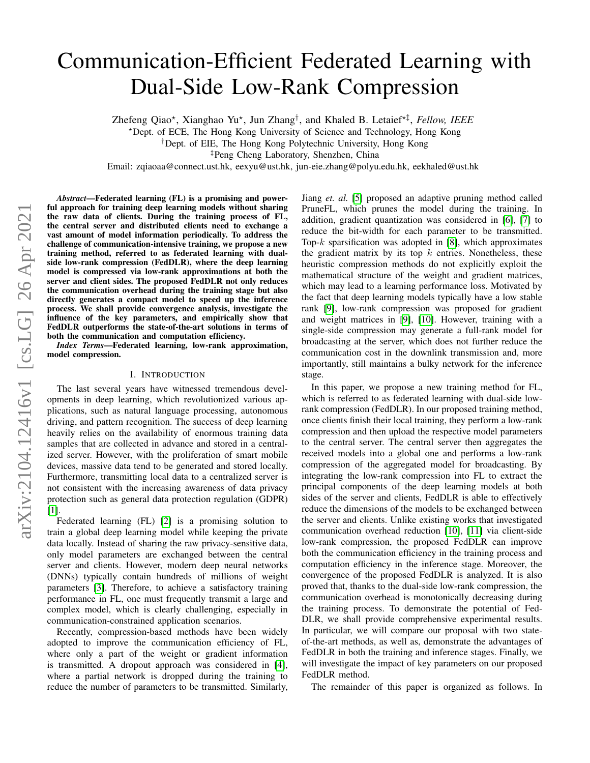# Communication-Efficient Federated Learning with Dual-Side Low-Rank Compression

Zhefeng Qiao\*, Xianghao Yu\*, Jun Zhang<sup>†</sup>, and Khaled B. Letaief<sup>\*‡</sup>, Fellow, IEEE

?Dept. of ECE, The Hong Kong University of Science and Technology, Hong Kong

†Dept. of EIE, The Hong Kong Polytechnic University, Hong Kong

‡Peng Cheng Laboratory, Shenzhen, China

Email: zqiaoaa@connect.ust.hk, eexyu@ust.hk, jun-eie.zhang@polyu.edu.hk, eekhaled@ust.hk

*Abstract*—Federated learning (FL) is a promising and powerful approach for training deep learning models without sharing the raw data of clients. During the training process of FL, the central server and distributed clients need to exchange a vast amount of model information periodically. To address the challenge of communication-intensive training, we propose a new training method, referred to as federated learning with dualside low-rank compression (FedDLR), where the deep learning model is compressed via low-rank approximations at both the server and client sides. The proposed FedDLR not only reduces the communication overhead during the training stage but also directly generates a compact model to speed up the inference process. We shall provide convergence analysis, investigate the influence of the key parameters, and empirically show that FedDLR outperforms the state-of-the-art solutions in terms of both the communication and computation efficiency.

*Index Terms*—Federated learning, low-rank approximation, model compression.

## I. INTRODUCTION

The last several years have witnessed tremendous developments in deep learning, which revolutionized various applications, such as natural language processing, autonomous driving, and pattern recognition. The success of deep learning heavily relies on the availability of enormous training data samples that are collected in advance and stored in a centralized server. However, with the proliferation of smart mobile devices, massive data tend to be generated and stored locally. Furthermore, transmitting local data to a centralized server is not consistent with the increasing awareness of data privacy protection such as general data protection regulation (GDPR) [\[1\]](#page-5-0).

Federated learning (FL) [\[2\]](#page-5-1) is a promising solution to train a global deep learning model while keeping the private data locally. Instead of sharing the raw privacy-sensitive data, only model parameters are exchanged between the central server and clients. However, modern deep neural networks (DNNs) typically contain hundreds of millions of weight parameters [\[3\]](#page-5-2). Therefore, to achieve a satisfactory training performance in FL, one must frequently transmit a large and complex model, which is clearly challenging, especially in communication-constrained application scenarios.

Recently, compression-based methods have been widely adopted to improve the communication efficiency of FL, where only a part of the weight or gradient information is transmitted. A dropout approach was considered in [\[4\]](#page-5-3), where a partial network is dropped during the training to reduce the number of parameters to be transmitted. Similarly, Jiang *et. al.* [\[5\]](#page-5-4) proposed an adaptive pruning method called PruneFL, which prunes the model during the training. In addition, gradient quantization was considered in [\[6\]](#page-5-5), [\[7\]](#page-5-6) to reduce the bit-width for each parameter to be transmitted. Top- $k$  sparsification was adopted in [\[8\]](#page-5-7), which approximates the gradient matrix by its top  $k$  entries. Nonetheless, these heuristic compression methods do not explicitly exploit the mathematical structure of the weight and gradient matrices, which may lead to a learning performance loss. Motivated by the fact that deep learning models typically have a low stable rank [\[9\]](#page-5-8), low-rank compression was proposed for gradient and weight matrices in [\[9\]](#page-5-8), [\[10\]](#page-5-9). However, training with a single-side compression may generate a full-rank model for broadcasting at the server, which does not further reduce the communication cost in the downlink transmission and, more importantly, still maintains a bulky network for the inference stage.

In this paper, we propose a new training method for FL, which is referred to as federated learning with dual-side lowrank compression (FedDLR). In our proposed training method, once clients finish their local training, they perform a low-rank compression and then upload the respective model parameters to the central server. The central server then aggregates the received models into a global one and performs a low-rank compression of the aggregated model for broadcasting. By integrating the low-rank compression into FL to extract the principal components of the deep learning models at both sides of the server and clients, FedDLR is able to effectively reduce the dimensions of the models to be exchanged between the server and clients. Unlike existing works that investigated communication overhead reduction [\[10\]](#page-5-9), [\[11\]](#page-5-10) via client-side low-rank compression, the proposed FedDLR can improve both the communication efficiency in the training process and computation efficiency in the inference stage. Moreover, the convergence of the proposed FedDLR is analyzed. It is also proved that, thanks to the dual-side low-rank compression, the communication overhead is monotonically decreasing during the training process. To demonstrate the potential of Fed-DLR, we shall provide comprehensive experimental results. In particular, we will compare our proposal with two stateof-the-art methods, as well as, demonstrate the advantages of FedDLR in both the training and inference stages. Finally, we will investigate the impact of key parameters on our proposed FedDLR method.

The remainder of this paper is organized as follows. In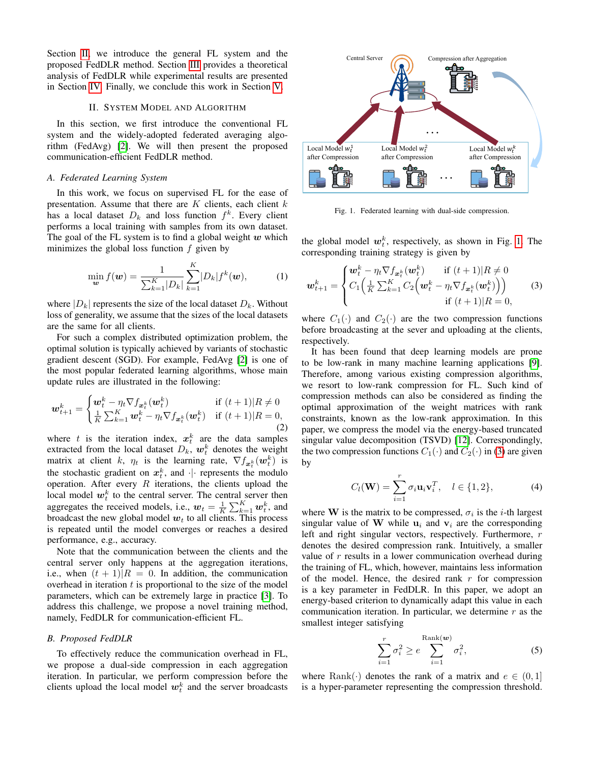Section [II,](#page-1-0) we introduce the general FL system and the proposed FedDLR method. Section [III](#page-2-0) provides a theoretical analysis of FedDLR while experimental results are presented in Section [IV.](#page-3-0) Finally, we conclude this work in Section [V.](#page-4-0)

# II. SYSTEM MODEL AND ALGORITHM

<span id="page-1-0"></span>In this section, we first introduce the conventional FL system and the widely-adopted federated averaging algorithm (FedAvg) [\[2\]](#page-5-1). We will then present the proposed communication-efficient FedDLR method.

#### *A. Federated Learning System*

In this work, we focus on supervised FL for the ease of presentation. Assume that there are  $K$  clients, each client  $k$ has a local dataset  $D_k$  and loss function  $f^k$ . Every client performs a local training with samples from its own dataset. The goal of the FL system is to find a global weight  $w$  which minimizes the global loss function  $f$  given by

$$
\min_{\mathbf{w}} f(\mathbf{w}) = \frac{1}{\sum_{k=1}^{K} |D_k|} \sum_{k=1}^{K} |D_k| f^k(\mathbf{w}), \quad (1)
$$

where  $|D_k|$  represents the size of the local dataset  $D_k$ . Without loss of generality, we assume that the sizes of the local datasets are the same for all clients.

For such a complex distributed optimization problem, the optimal solution is typically achieved by variants of stochastic gradient descent (SGD). For example, FedAvg [\[2\]](#page-5-1) is one of the most popular federated learning algorithms, whose main update rules are illustrated in the following:

$$
\boldsymbol{w}_{t+1}^k = \begin{cases} \boldsymbol{w}_t^k - \eta_t \nabla f_{\boldsymbol{x}_t^k}(\boldsymbol{w}_t^k) & \text{if } (t+1)|R \neq 0\\ \frac{1}{K} \sum_{k=1}^K \boldsymbol{w}_t^k - \eta_t \nabla f_{\boldsymbol{x}_t^k}(\boldsymbol{w}_t^k) & \text{if } (t+1)|R = 0, \end{cases} \tag{2}
$$

where t is the iteration index,  $x_t^k$  are the data samples extracted from the local dataset  $D_k$ ,  $\boldsymbol{w}_t^k$  denotes the weight matrix at client k,  $\eta_t$  is the learning rate,  $\nabla f_{\mathbf{x}_t^k}(\mathbf{w}_t^k)$  is the stochastic gradient on  $x_t^k$ , and  $\cdot$  represents the modulo operation. After every  $R$  iterations, the clients upload the local model  $w_t^k$  to the central server. The central server then aggregates the received models, i.e.,  $w_t = \frac{1}{K} \sum_{k=1}^{K} w_t^k$ , and broadcast the new global model  $w_t$  to all clients. This process is repeated until the model converges or reaches a desired performance, e.g., accuracy.

Note that the communication between the clients and the central server only happens at the aggregation iterations, i.e., when  $(t + 1)|R = 0$ . In addition, the communication overhead in iteration  $t$  is proportional to the size of the model parameters, which can be extremely large in practice [\[3\]](#page-5-2). To address this challenge, we propose a novel training method, namely, FedDLR for communication-efficient FL.

# *B. Proposed FedDLR*

To effectively reduce the communication overhead in FL, we propose a dual-side compression in each aggregation iteration. In particular, we perform compression before the clients upload the local model  $w_t^k$  and the server broadcasts



<span id="page-1-1"></span>Fig. 1. Federated learning with dual-side compression.

the global model  $w_t^k$ , respectively, as shown in Fig. [1.](#page-1-1) The corresponding training strategy is given by

<span id="page-1-2"></span>
$$
\boldsymbol{w}_{t+1}^{k} = \begin{cases} \boldsymbol{w}_{t}^{k} - \eta_{t} \nabla f_{\boldsymbol{x}_{t}^{k}}(\boldsymbol{w}_{t}^{k}) & \text{if } (t+1)|R \neq 0\\ C_{1} \left( \frac{1}{K} \sum_{k=1}^{K} C_{2} \left( \boldsymbol{w}_{t}^{k} - \eta_{t} \nabla f_{\boldsymbol{x}_{t}^{k}}(\boldsymbol{w}_{t}^{k}) \right) \right) & \text{if } (t+1)|R = 0, \end{cases} \tag{3}
$$

where  $C_1(\cdot)$  and  $C_2(\cdot)$  are the two compression functions before broadcasting at the sever and uploading at the clients, respectively.

It has been found that deep learning models are prone to be low-rank in many machine learning applications [\[9\]](#page-5-8). Therefore, among various existing compression algorithms, we resort to low-rank compression for FL. Such kind of compression methods can also be considered as finding the optimal approximation of the weight matrices with rank constraints, known as the low-rank approximation. In this paper, we compress the model via the energy-based truncated singular value decomposition (TSVD) [\[12\]](#page-5-11). Correspondingly, the two compression functions  $C_1(\cdot)$  and  $C_2(\cdot)$  in [\(3\)](#page-1-2) are given by

<span id="page-1-3"></span>
$$
C_l(\mathbf{W}) = \sum_{i=1}^r \sigma_i \mathbf{u}_i \mathbf{v}_i^T, \quad l \in \{1, 2\},
$$
 (4)

where **W** is the matrix to be compressed,  $\sigma_i$  is the *i*-th largest singular value of W while  $u_i$  and  $v_i$  are the corresponding left and right singular vectors, respectively. Furthermore, r denotes the desired compression rank. Intuitively, a smaller value of  $r$  results in a lower communication overhead during the training of FL, which, however, maintains less information of the model. Hence, the desired rank  $r$  for compression is a key parameter in FedDLR. In this paper, we adopt an energy-based criterion to dynamically adapt this value in each communication iteration. In particular, we determine  $r$  as the smallest integer satisfying

<span id="page-1-4"></span>
$$
\sum_{i=1}^{r} \sigma_i^2 \ge e \sum_{i=1}^{\text{Rank}(\boldsymbol{w})} \sigma_i^2,\tag{5}
$$

where Rank(·) denotes the rank of a matrix and  $e \in (0, 1]$ is a hyper-parameter representing the compression threshold.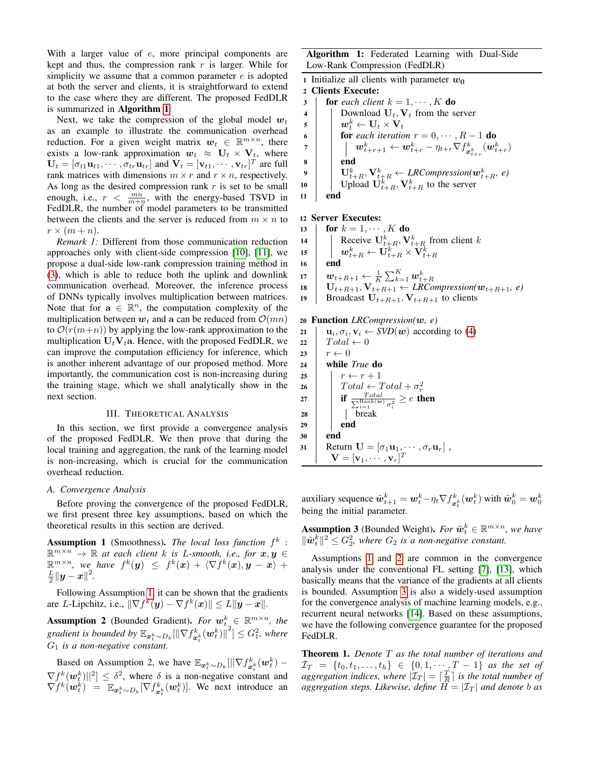With a larger value of  $e$ , more principal components are kept and thus, the compression rank  $r$  is larger. While for simplicity we assume that a common parameter  $e$  is adopted at both the server and clients, it is straightforward to extend to the case where they are different. The proposed FedDLR is summarized in Algorithm [1](#page-2-1).

Next, we take the compression of the global model  $w_t$ as an example to illustrate the communication overhead reduction. For a given weight matrix  $w_t \in \mathbb{R}^{m \times n}$ , there exists a low-rank approximation  $w_t \approx U_t \times V_t$ , where  $\mathbf{U}_t = [\sigma_{t1} \mathbf{u}_{t1}, \cdots, \sigma_{tr} \mathbf{u}_{tr}]$  and  $\mathbf{V}_t = [\mathbf{v}_{t1}, \cdots, \mathbf{v}_{tr}]^T$  are full rank matrices with dimensions  $m \times r$  and  $r \times n$ , respectively. As long as the desired compression rank  $r$  is set to be small enough, i.e.,  $r < \frac{mn}{m+n}$ , with the energy-based TSVD in FedDLR, the number of model parameters to be transmitted between the clients and the server is reduced from  $m \times n$  to  $r \times (m+n)$ .

*Remark 1:* Different from those communication reduction approaches only with client-side compression [\[10\]](#page-5-9), [\[11\]](#page-5-10), we propose a dual-side low-rank compression training method in [\(3\)](#page-1-2), which is able to reduce both the uplink and downlink communication overhead. Moreover, the inference process of DNNs typically involves multiplication between matrices. Note that for  $a \in \mathbb{R}^n$ , the computation complexity of the multiplication between  $w_t$  and a can be reduced from  $\mathcal{O}(mn)$ to  $\mathcal{O}(r(m+n))$  by applying the low-rank approximation to the multiplication  $U_tV_t$ a. Hence, with the proposed FedDLR, we can improve the computation efficiency for inference, which is another inherent advantage of our proposed method. More importantly, the communication cost is non-increasing during the training stage, which we shall analytically show in the next section.

## III. THEORETICAL ANALYSIS

<span id="page-2-0"></span>In this section, we first provide a convergence analysis of the proposed FedDLR. We then prove that during the local training and aggregation, the rank of the learning model is non-increasing, which is crucial for the communication overhead reduction.

#### *A. Convergence Analysis*

Before proving the convergence of the proposed FedDLR, we first present three key assumptions, based on which the theoretical results in this section are derived.

<span id="page-2-2"></span>Assumption 1 (Smoothness). The local loss function  $f^k$ :  $\mathbb{R}^{m \times n} \rightarrow \mathbb{R}$  at each client k is L-smooth, i.e., for  $x, y \in$  $\mathbb{R}^{m \times n}$ , we have  $f^k(\mathbf{y}) \leq f^k(\mathbf{x}) + \langle \nabla f^k(\mathbf{x}), \mathbf{y} - \mathbf{x} \rangle + \frac{L}{2} ||\mathbf{y} - \mathbf{x}||^2$ .

Following Assumption [1,](#page-2-2) it can be shown that the gradients are L-Lipchitz, i.e.,  $\|\nabla f^k(\mathbf{y}) - \nabla f^k(\mathbf{x})\| \le L \|\mathbf{y} - \mathbf{x}\|.$ 

<span id="page-2-3"></span>**Assumption 2** (Bounded Gradient). *For*  $w_{t_{\alpha}}^{k} \in \mathbb{R}^{m \times n}$ , the *gradient is bounded by*  $\mathbb{E}_{\bm{x}_t^k \sim D_k}[\|\nabla f_{\bm{x}_t^k}^k(\bm{w}_t^k)\|^2] \leq G_1^2$ , where G<sup>1</sup> *is a non-negative constant.*

Based on Assumption 2, we have  $\mathbb{E}_{\bm{x}_t^k \sim D_k} [||\nabla f_{\bm{x}_t^k}^k(\bm{w}_t^k) \nabla f^{k}(\boldsymbol{w}_{t}^{k})||^{2}] \leq \delta^{2}$ , where  $\delta$  is a non-negative constant and  $\nabla f^k(\boldsymbol{w}_t^k) = \mathbb{E}_{\boldsymbol{x}_t^k \sim D_k} [\nabla f_{\boldsymbol{x}_t^k}^k(\boldsymbol{w}_t^k)]$ . We next introduce an

Algorithm 1: Federated Learning with Dual-Side Low-Rank Compression (FedDLR)

|                         | 1 Initialize all clients with parameter $w_0$                                                                                                                        |
|-------------------------|----------------------------------------------------------------------------------------------------------------------------------------------------------------------|
|                         | 2 Clients Execute:                                                                                                                                                   |
| $\overline{\mathbf{3}}$ | <b>for</b> each client $k = 1, \dots, K$ <b>do</b>                                                                                                                   |
| $\overline{4}$          | Download $U_t$ , $V_t$ from the server                                                                                                                               |
| $\overline{\mathbf{5}}$ | $\boldsymbol{w}_t^k \leftarrow \mathbf{U}_t \times \mathbf{V}_t$                                                                                                     |
| 6                       | <b>for</b> each iteration $r = 0, \dots, R - 1$ <b>do</b>                                                                                                            |
|                         | $\boldsymbol{w}_{t+r+1}^k \leftarrow \boldsymbol{w}_{t+r}^k - \eta_{t+r} \nabla f_{\boldsymbol{x}_{t+s}^k}^k(\boldsymbol{w}_{t+r}^k)$                                |
| 8                       | end                                                                                                                                                                  |
| $\overline{9}$          | $\mathbf{U}_{t+R}^k, \mathbf{V}_{t+R}^k \leftarrow \text{LRCompression}(\boldsymbol{w}_{t+R}^k, e)$<br>Upload $\mathbf{U}_{t+R}^k, \mathbf{V}_{t+R}^k$ to the server |
| 10                      |                                                                                                                                                                      |
| 11                      |                                                                                                                                                                      |

#### 12 Server Executes:

13 **for**  $k = 1, \dots, K$  do 14 Receive  $U_{t+R}^k$ ,  $V_{t+R}^k$  from client k  $\begin{array}{c|c} \texttt{15} & w_{t+R}^k \leftarrow \textbf{U}_{t+R}^k \times \textbf{V}_{t+R}^k \ \texttt{16} & \textbf{end} \end{array}$  $\begin{array}{c|c} \mathbf{u}_t & \mathbf{w}_{t+R+1} \leftarrow \frac{1}{K}\sum_{k=1}^K \mathbf{w}_{t+R}^k & \mathbf{u}_t \in \mathbf{u}_t + \mathbf{R} \ \mathbf{u}_t & \mathbf{u}_{t+R+1}, \mathbf{v}_{t+R+1} \leftarrow \textit{LRC} \end{array}$ 19 Broadcast  $U_{t+R+1}$ ,  $V_{t+R+1}$  to clients

<sup>20</sup> Function *LRCompression(*w*, e)*

21  $\mathbf{u}_i, \sigma_i, \mathbf{v}_i \leftarrow \text{SVD}(\boldsymbol{w})$  according to [\(4\)](#page-1-3)  $22 \mid Total \leftarrow 0$ 23  $r \leftarrow 0$ <sup>24</sup> while *True* do 25  $r \leftarrow r + 1$ 26  $\begin{array}{|l|l|} \hline \text{Total} \leftarrow \text{Total} + \sigma_r^2 \ \text{if} \; \frac{\text{Total}}{\sum_{i=1}^{\text{Real}} \text{(w)} \; \sigma_i^2} \geq e \; \text{tf} \end{array}$  $\frac{Total_{\text{Rank}(\bm{w})}}{\sum\limits_{i=1}^R \sigma_i^2} \geq e$  then <sup>28</sup> break 29 end 30 end 31 Return  $\mathbf{U} = [\sigma_1 \mathbf{u}_1, \cdots, \sigma_r \mathbf{u}_r]$ ,  $\mathbf{V} = [\mathbf{v}_1, \cdots, \mathbf{v}_r]^T$ 

<span id="page-2-1"></span>auxiliary sequence  $\tilde{\bm{w}}_{t+1}^k = \bm{w}_t^k - \eta_t \nabla f_{\bm{x}_t^k}^k(\bm{w}_t^k)$  with  $\tilde{\bm{w}}_0^k = \bm{w}_0^k$ being the initial parameter.

<span id="page-2-4"></span>**Assumption 3** (Bounded Weight). *For*  $\tilde{\boldsymbol{w}}_t^k \in \mathbb{R}^{m \times n}$ , we have  $\|\tilde{\boldsymbol{w}}_t^k\|^2 \leq G_2^2$ , where  $G_2$  is a non-negative constant.

Assumptions [1](#page-2-2) and [2](#page-2-3) are common in the convergence analysis under the conventional FL setting [\[7\]](#page-5-6), [\[13\]](#page-5-12), which basically means that the variance of the gradients at all clients is bounded. Assumption [3](#page-2-4) is also a widely-used assumption for the convergence analysis of machine learning models, e.g., recurrent neural networks [\[14\]](#page-5-13). Based on these assumptions, we have the following convergence guarantee for the proposed FedDLR.

Theorem 1. *Denote* T *as the total number of iterations and*  $\mathcal{I}_T \;=\; \{t_0, t_1, \ldots, t_h\} \;\in\; \{0, 1, \cdots, T-1\}$  as the set of *aggregation indices, where*  $|\mathcal{I}_T| = \lceil \frac{T}{R} \rceil$  *is the total number of aggregation steps. Likewise, define*  $H = |\mathcal{I}_T|$  *and denote b as*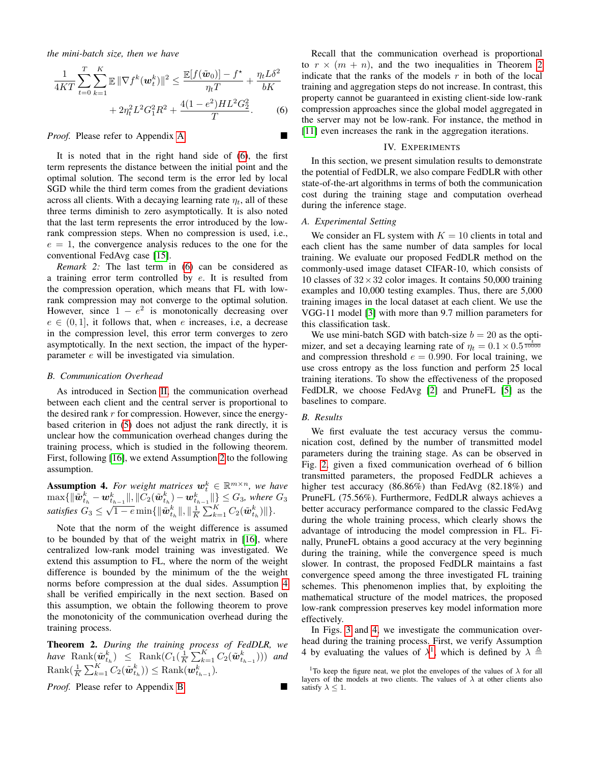*the mini-batch size, then we have*

$$
\frac{1}{4KT} \sum_{t=0}^{T} \sum_{k=1}^{K} \mathbb{E} \|\nabla f^{k}(\boldsymbol{w}_{t}^{k})\|^{2} \le \frac{\mathbb{E}[f(\tilde{\boldsymbol{w}}_{0})] - f^{\star}}{\eta_{t}T} + \frac{\eta_{t}L\delta^{2}}{bK} + 2\eta_{t}^{2}L^{2}G_{1}^{2}R^{2} + \frac{4(1 - e^{2})HL^{2}G_{2}^{2}}{T}.
$$
 (6)

*Proof.* Please refer to Appendix [A.](#page-4-1)

<span id="page-3-1"></span>

It is noted that in the right hand side of [\(6\)](#page-3-1), the first term represents the distance between the initial point and the optimal solution. The second term is the error led by local SGD while the third term comes from the gradient deviations across all clients. With a decaying learning rate  $\eta_t$ , all of these three terms diminish to zero asymptotically. It is also noted that the last term represents the error introduced by the lowrank compression steps. When no compression is used, i.e.,  $e = 1$ , the convergence analysis reduces to the one for the conventional FedAvg case [\[15\]](#page-5-14).

*Remark 2:* The last term in [\(6\)](#page-3-1) can be considered as a training error term controlled by  $e$ . It is resulted from the compression operation, which means that FL with lowrank compression may not converge to the optimal solution. However, since  $1 - e^2$  is monotonically decreasing over  $e \in (0, 1]$ , it follows that, when e increases, i.e, a decrease in the compression level, this error term converges to zero asymptotically. In the next section, the impact of the hyperparameter e will be investigated via simulation.

# *B. Communication Overhead*

As introduced in Section [II,](#page-1-0) the communication overhead between each client and the central server is proportional to the desired rank  $r$  for compression. However, since the energybased criterion in [\(5\)](#page-1-4) does not adjust the rank directly, it is unclear how the communication overhead changes during the training process, which is studied in the following theorem. First, following [\[16\]](#page-5-15), we extend Assumption [2](#page-2-3) to the following assumption.

<span id="page-3-2"></span>**Assumption 4.** For weight matrices  $w_t^k \in \mathbb{R}^{m \times n}$ , we have  $\max\{\|\tilde{{\boldsymbol w}}_{t_h}^k-{\boldsymbol w}_{t_{h-1}}^k\|,\|\tilde{C}_2(\tilde{{\boldsymbol w}}_{t_h}^k)-{\boldsymbol w}_{t_{h-1}}^k\|\}\leq G_3,$  where  $G_3$  $satisfies G_3 ≤ \sqrt{1-e} \min\{\|\tilde{\boldsymbol{w}}_{t_h}^k\|, \|\frac{1}{K}\sum_{k=1}^K C_2(\tilde{\boldsymbol{w}}_{t_h}^k)\}\}.$ 

Note that the norm of the weight difference is assumed to be bounded by that of the weight matrix in [\[16\]](#page-5-15), where centralized low-rank model training was investigated. We extend this assumption to FL, where the norm of the weight difference is bounded by the minimum of the the weight norms before compression at the dual sides. Assumption [4](#page-3-2) shall be verified empirically in the next section. Based on this assumption, we obtain the following theorem to prove the monotonicity of the communication overhead during the training process.

<span id="page-3-3"></span>Theorem 2. *During the training process of FedDLR, we have*  $\text{Rank}(\tilde{\boldsymbol{w}}_{t_h}^k) \leq \text{Rank}(C_1(\frac{1}{K}\sum_{k=1}^K C_2(\tilde{\boldsymbol{w}}_{t_{h-1}}^k)))$  and  $\text{Rank}(\frac{1}{K}\sum_{k=1}^{K}C_2(\tilde{\bm{w}}_{t_h}^k)) \leq \text{Rank}(\bm{w}_{t_{h-1}}^k).$ 

*Proof.* Please refer to Appendix [B.](#page-5-16)

Recall that the communication overhead is proportional to  $r \times (m + n)$ , and the two inequalities in Theorem [2](#page-3-3) indicate that the ranks of the models  $r$  in both of the local training and aggregation steps do not increase. In contrast, this property cannot be guaranteed in existing client-side low-rank compression approaches since the global model aggregated in the server may not be low-rank. For instance, the method in [\[11\]](#page-5-10) even increases the rank in the aggregation iterations.

#### IV. EXPERIMENTS

<span id="page-3-0"></span>In this section, we present simulation results to demonstrate the potential of FedDLR, we also compare FedDLR with other state-of-the-art algorithms in terms of both the communication cost during the training stage and computation overhead during the inference stage.

# *A. Experimental Setting*

We consider an FL system with  $K = 10$  clients in total and each client has the same number of data samples for local training. We evaluate our proposed FedDLR method on the commonly-used image dataset CIFAR-10, which consists of 10 classes of  $32 \times 32$  color images. It contains 50,000 training examples and 10,000 testing examples. Thus, there are 5,000 training images in the local dataset at each client. We use the VGG-11 model [\[3\]](#page-5-2) with more than 9.7 million parameters for this classification task.

We use mini-batch SGD with batch-size  $b = 20$  as the optimizer, and set a decaying learning rate of  $\eta_t = 0.1 \times 0.5 \frac{\tau_t}{10000}$ and compression threshold  $e = 0.990$ . For local training, we use cross entropy as the loss function and perform 25 local training iterations. To show the effectiveness of the proposed FedDLR, we choose FedAvg [\[2\]](#page-5-1) and PruneFL [\[5\]](#page-5-4) as the baselines to compare.

# *B. Results*

We first evaluate the test accuracy versus the communication cost, defined by the number of transmitted model parameters during the training stage. As can be observed in Fig. [2,](#page-4-2) given a fixed communication overhead of 6 billion transmitted parameters, the proposed FedDLR achieves a higher test accuracy (86.86%) than FedAvg (82.18%) and PruneFL (75.56%). Furthermore, FedDLR always achieves a better accuracy performance compared to the classic FedAvg during the whole training process, which clearly shows the advantage of introducing the model compression in FL. Finally, PruneFL obtains a good accuracy at the very beginning during the training, while the convergence speed is much slower. In contrast, the proposed FedDLR maintains a fast convergence speed among the three investigated FL training schemes. This phenomenon implies that, by exploiting the mathematical structure of the model matrices, the proposed low-rank compression preserves key model information more effectively.

In Figs. [3](#page-4-3) and [4,](#page-4-4) we investigate the communication overhead during the training process. First, we verify Assumption 4 by evaluating the values of  $\lambda^1$  $\lambda^1$ , which is defined by  $\lambda \triangleq$ 

<span id="page-3-4"></span><sup>&</sup>lt;sup>1</sup>To keep the figure neat, we plot the envelopes of the values of  $\lambda$  for all layers of the models at two clients. The values of  $\lambda$  at other clients also satisfy  $\lambda \leq 1$ .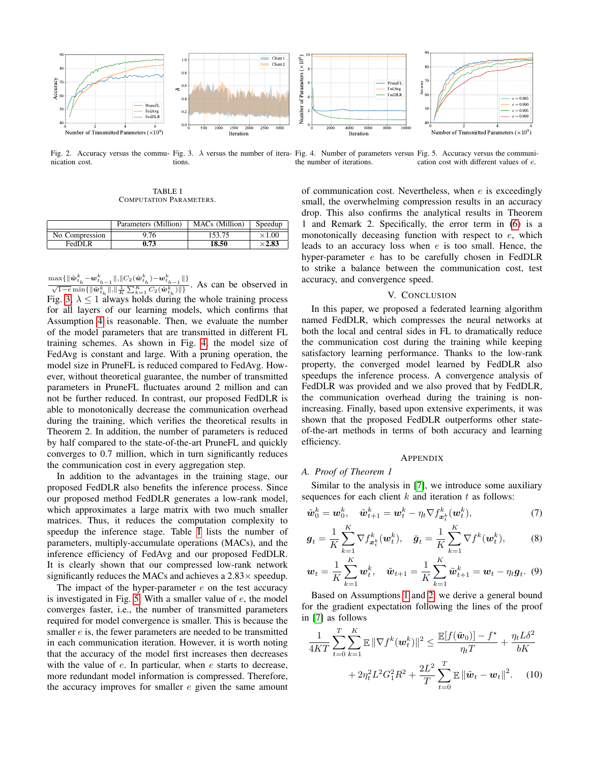

<span id="page-4-2"></span>Fig. 2. Accuracy versus the commu- Fig. 3. λ versus the number of itera- Fig. 4. Number of parameters versus Fig. 5. Accuracy versus the communinication cost. tions. the number of iterations. cation cost with different values of e.

<span id="page-4-3"></span>TABLE I COMPUTATION PARAMETERS.

<span id="page-4-5"></span>

|            | Parameters (Million) | MA0   | Speedup |
|------------|----------------------|-------|---------|
| ompression | -<br>76              | 52    |         |
| FedDI      | .73                  | 18.50 |         |

 $\frac{\max\{\|\tilde{\boldsymbol{w}}_{t_h}^k - \boldsymbol{w}_{t_{h-1}}^k\|,\|C_2(\tilde{\boldsymbol{w}}_{t_h}^k) - \boldsymbol{w}_{t_{h-1}}^k\|\}}{\sqrt{1-e}\min\{\|\tilde{\boldsymbol{w}}_{t_h}^k\|,\|\frac{1}{K}\sum_{k=1}^K C_2(\tilde{\boldsymbol{w}}_{t_h}^k)\|\}}$ . As can be observed in Fig. [3,](#page-4-3)  $\lambda \leq 1$  always holds during the whole training process for all layers of our learning models, which confirms that Assumption [4](#page-3-2) is reasonable. Then, we evaluate the number of the model parameters that are transmitted in different FL training schemes. As shown in Fig. [4,](#page-4-4) the model size of FedAvg is constant and large. With a pruning operation, the model size in PruneFL is reduced compared to FedAvg. However, without theoretical guarantee, the number of transmitted parameters in PruneFL fluctuates around 2 million and can not be further reduced. In contrast, our proposed FedDLR is able to monotonically decrease the communication overhead during the training, which verifies the theoretical results in Theorem 2. In addition, the number of parameters is reduced by half compared to the state-of-the-art PruneFL and quickly converges to 0.7 million, which in turn significantly reduces the communication cost in every aggregation step.

In addition to the advantages in the training stage, our proposed FedDLR also benefits the inference process. Since our proposed method FedDLR generates a low-rank model, which approximates a large matrix with two much smaller matrices. Thus, it reduces the computation complexity to speedup the inference stage. Table [I](#page-4-5) lists the number of parameters, multiply-accumulate operations (MACs), and the inference efficiency of FedAvg and our proposed FedDLR. It is clearly shown that our compressed low-rank network significantly reduces the MACs and achieves a  $2.83\times$  speedup.

The impact of the hyper-parameter  $e$  on the test accuracy is investigated in Fig. [5.](#page-4-6) With a smaller value of  $e$ , the model converges faster, i.e., the number of transmitted parameters required for model convergence is smaller. This is because the smaller  $e$  is, the fewer parameters are needed to be transmitted in each communication iteration. However, it is worth noting that the accuracy of the model first increases then decreases with the value of  $e$ . In particular, when  $e$  starts to decrease, more redundant model information is compressed. Therefore, the accuracy improves for smaller  $e$  given the same amount

<span id="page-4-6"></span><span id="page-4-4"></span>of communication cost. Nevertheless, when  $e$  is exceedingly small, the overwhelming compression results in an accuracy drop. This also confirms the analytical results in Theorem 1 and Remark 2. Specifically, the error term in [\(6\)](#page-3-1) is a monotonically deceasing function with respect to  $e$ , which leads to an accuracy loss when e is too small. Hence, the hyper-parameter e has to be carefully chosen in FedDLR to strike a balance between the communication cost, test accuracy, and convergence speed.

# V. CONCLUSION

<span id="page-4-0"></span>In this paper, we proposed a federated learning algorithm named FedDLR, which compresses the neural networks at both the local and central sides in FL to dramatically reduce the communication cost during the training while keeping satisfactory learning performance. Thanks to the low-rank property, the converged model learned by FedDLR also speedups the inference process. A convergence analysis of FedDLR was provided and we also proved that by FedDLR, the communication overhead during the training is nonincreasing. Finally, based upon extensive experiments, it was shown that the proposed FedDLR outperforms other stateof-the-art methods in terms of both accuracy and learning efficiency.

#### APPENDIX

# <span id="page-4-1"></span>*A. Proof of Theorem 1*

Similar to the analysis in [\[7\]](#page-5-6), we introduce some auxiliary sequences for each client  $k$  and iteration  $t$  as follows:

$$
\tilde{\boldsymbol{w}}_0^k = \boldsymbol{w}_0^k, \quad \tilde{\boldsymbol{w}}_{t+1}^k = \boldsymbol{w}_t^k - \eta_t \nabla f_{\boldsymbol{x}_t^k}^k(\boldsymbol{w}_t^k), \tag{7}
$$

$$
\bm{g}_t = \frac{1}{K} \sum_{k=1}^K \nabla f_{\bm{x}_t}^k(\bm{w}_t^k), \quad \bar{\bm{g}}_t = \frac{1}{K} \sum_{k=1}^K \nabla f^k(\bm{w}_t^k), \tag{8}
$$

$$
\mathbf{w}_t = \frac{1}{K} \sum_{k=1}^K \mathbf{w}_t^k, \quad \tilde{\mathbf{w}}_{t+1} = \frac{1}{K} \sum_{k=1}^K \tilde{\mathbf{w}}_{t+1}^k = \mathbf{w}_t - \eta_t \mathbf{g}_t. \tag{9}
$$

Based on Assumptions [1](#page-2-2) and [2,](#page-2-3) we derive a general bound for the gradient expectation following the lines of the proof in [\[7\]](#page-5-6) as follows

<span id="page-4-7"></span>
$$
\frac{1}{4KT} \sum_{t=0}^{T} \sum_{k=1}^{K} \mathbb{E} \|\nabla f^k(\boldsymbol{w}_t^k)\|^2 \le \frac{\mathbb{E}[f(\tilde{\boldsymbol{w}}_0)] - f^{\star}}{\eta_t T} + \frac{\eta_t L \delta^2}{bK} + 2\eta_t^2 L^2 G_1^2 R^2 + \frac{2L^2}{T} \sum_{t=0}^{T} \mathbb{E} \|\tilde{\boldsymbol{w}}_t - \boldsymbol{w}_t\|^2. \tag{10}
$$